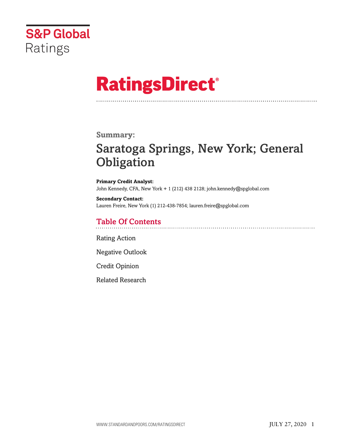

# **RatingsDirect®**

## **Summary:**

# Saratoga Springs, New York; General **Obligation**

**Primary Credit Analyst:** John Kennedy, CFA, New York + 1 (212) 438 2128; john.kennedy@spglobal.com

**Secondary Contact:** Lauren Freire, New York (1) 212-438-7854; lauren.freire@spglobal.com

## Table Of Contents

[Rating Action](#page-1-0)

[Negative Outlook](#page-2-0)

[Credit Opinion](#page-2-1)

[Related Research](#page-6-0)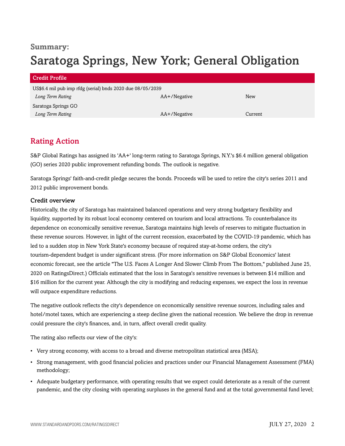## **Summary:** Saratoga Springs, New York; General Obligation

| Credit Profile                                             |              |         |
|------------------------------------------------------------|--------------|---------|
| US\$6.4 mil pub imp rfdg (serial) bnds 2020 due 08/05/2039 |              |         |
| Long Term Rating                                           | AA+/Negative | New     |
| Saratoga Springs GO                                        |              |         |
| Long Term Rating                                           | AA+/Negative | Current |

## <span id="page-1-0"></span>Rating Action

S&P Global Ratings has assigned its 'AA+' long-term rating to Saratoga Springs, N.Y.'s \$6.4 million general obligation (GO) series 2020 public improvement refunding bonds. The outlook is negative.

Saratoga Springs' faith-and-credit pledge secures the bonds. Proceeds will be used to retire the city's series 2011 and 2012 public improvement bonds.

## Credit overview

Historically, the city of Saratoga has maintained balanced operations and very strong budgetary flexibility and liquidity, supported by its robust local economy centered on tourism and local attractions. To counterbalance its dependence on economically sensitive revenue, Saratoga maintains high levels of reserves to mitigate fluctuation in these revenue sources. However, in light of the current recession, exacerbated by the COVID-19 pandemic, which has led to a sudden stop in New York State's economy because of required stay-at-home orders, the city's tourism-dependent budget is under significant stress. (For more information on S&P Global Economics' latest economic forecast, see the article "The U.S. Faces A Longer And Slower Climb From The Bottom," published June 25, 2020 on RatingsDirect.) Officials estimated that the loss in Saratoga's sensitive revenues is between \$14 million and \$16 million for the current year. Although the city is modifying and reducing expenses, we expect the loss in revenue will outpace expenditure reductions.

The negative outlook reflects the city's dependence on economically sensitive revenue sources, including sales and hotel/motel taxes, which are experiencing a steep decline given the national recession. We believe the drop in revenue could pressure the city's finances, and, in turn, affect overall credit quality.

The rating also reflects our view of the city's:

- Very strong economy, with access to a broad and diverse metropolitan statistical area (MSA);
- Strong management, with good financial policies and practices under our Financial Management Assessment (FMA) methodology;
- Adequate budgetary performance, with operating results that we expect could deteriorate as a result of the current pandemic, and the city closing with operating surpluses in the general fund and at the total governmental fund level;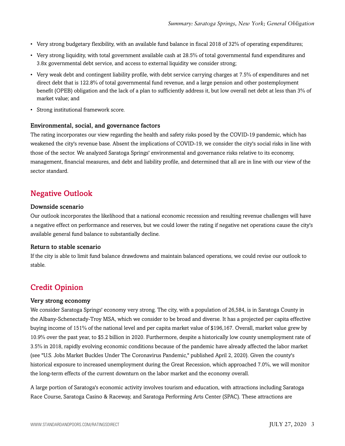- Very strong budgetary flexibility, with an available fund balance in fiscal 2018 of 32% of operating expenditures;
- Very strong liquidity, with total government available cash at 28.5% of total governmental fund expenditures and 3.8x governmental debt service, and access to external liquidity we consider strong;
- Very weak debt and contingent liability profile, with debt service carrying charges at 7.5% of expenditures and net direct debt that is 122.8% of total governmental fund revenue, and a large pension and other postemployment benefit (OPEB) obligation and the lack of a plan to sufficiently address it, but low overall net debt at less than 3% of market value; and
- Strong institutional framework score.

### Environmental, social, and governance factors

The rating incorporates our view regarding the health and safety risks posed by the COVID-19 pandemic, which has weakened the city's revenue base. Absent the implications of COVID-19, we consider the city's social risks in line with those of the sector. We analyzed Saratoga Springs' environmental and governance risks relative to its economy, management, financial measures, and debt and liability profile, and determined that all are in line with our view of the sector standard.

## <span id="page-2-0"></span>Negative Outlook

#### Downside scenario

Our outlook incorporates the likelihood that a national economic recession and resulting revenue challenges will have a negative effect on performance and reserves, but we could lower the rating if negative net operations cause the city's available general fund balance to substantially decline.

#### Return to stable scenario

If the city is able to limit fund balance drawdowns and maintain balanced operations, we could revise our outlook to stable.

## <span id="page-2-1"></span>Credit Opinion

#### Very strong economy

We consider Saratoga Springs' economy very strong. The city, with a population of 26,584, is in Saratoga County in the Albany-Schenectady-Troy MSA, which we consider to be broad and diverse. It has a projected per capita effective buying income of 151% of the national level and per capita market value of \$196,167. Overall, market value grew by 10.9% over the past year, to \$5.2 billion in 2020. Furthermore, despite a historically low county unemployment rate of 3.5% in 2018, rapidly evolving economic conditions because of the pandemic have already affected the labor market (see "U.S. Jobs Market Buckles Under The Coronavirus Pandemic," published April 2, 2020). Given the county's historical exposure to increased unemployment during the Great Recession, which approached 7.0%, we will monitor the long-term effects of the current downturn on the labor market and the economy overall.

A large portion of Saratoga's economic activity involves tourism and education, with attractions including Saratoga Race Course, Saratoga Casino & Raceway, and Saratoga Performing Arts Center (SPAC). These attractions are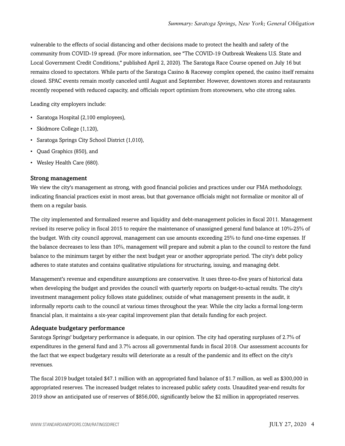vulnerable to the effects of social distancing and other decisions made to protect the health and safety of the community from COVID-19 spread. (For more information, see "The COVID-19 Outbreak Weakens U.S. State and Local Government Credit Conditions," published April 2, 2020). The Saratoga Race Course opened on July 16 but remains closed to spectators. While parts of the Saratoga Casino & Raceway complex opened, the casino itself remains closed. SPAC events remain mostly canceled until August and September. However, downtown stores and restaurants recently reopened with reduced capacity, and officials report optimism from storeowners, who cite strong sales.

Leading city employers include:

- Saratoga Hospital (2,100 employees),
- Skidmore College (1,120),
- Saratoga Springs City School District (1,010),
- Quad Graphics (850), and
- Wesley Health Care (680).

#### Strong management

We view the city's management as strong, with good financial policies and practices under our FMA methodology, indicating financial practices exist in most areas, but that governance officials might not formalize or monitor all of them on a regular basis.

The city implemented and formalized reserve and liquidity and debt-management policies in fiscal 2011. Management revised its reserve policy in fiscal 2015 to require the maintenance of unassigned general fund balance at 10%-25% of the budget. With city council approval, management can use amounts exceeding 25% to fund one-time expenses. If the balance decreases to less than 10%, management will prepare and submit a plan to the council to restore the fund balance to the minimum target by either the next budget year or another appropriate period. The city's debt policy adheres to state statutes and contains qualitative stipulations for structuring, issuing, and managing debt.

Management's revenue and expenditure assumptions are conservative. It uses three-to-five years of historical data when developing the budget and provides the council with quarterly reports on budget-to-actual results. The city's investment management policy follows state guidelines; outside of what management presents in the audit, it informally reports cash to the council at various times throughout the year. While the city lacks a formal long-term financial plan, it maintains a six-year capital improvement plan that details funding for each project.

#### Adequate budgetary performance

Saratoga Springs' budgetary performance is adequate, in our opinion. The city had operating surpluses of 2.7% of expenditures in the general fund and 3.7% across all governmental funds in fiscal 2018. Our assessment accounts for the fact that we expect budgetary results will deteriorate as a result of the pandemic and its effect on the city's revenues.

The fiscal 2019 budget totaled \$47.1 million with an appropriated fund balance of \$1.7 million, as well as \$300,000 in appropriated reserves. The increased budget relates to increased public safety costs. Unaudited year-end results for 2019 show an anticipated use of reserves of \$856,000, significantly below the \$2 million in appropriated reserves.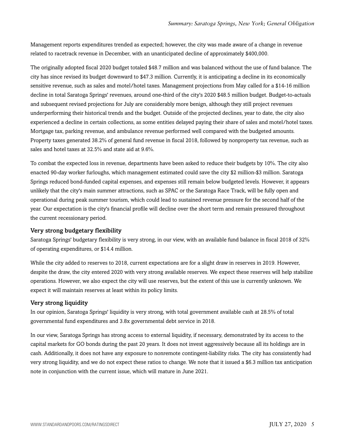Management reports expenditures trended as expected; however, the city was made aware of a change in revenue related to racetrack revenue in December, with an unanticipated decline of approximately \$400,000.

The originally adopted fiscal 2020 budget totaled \$48.7 million and was balanced without the use of fund balance. The city has since revised its budget downward to \$47.3 million. Currently, it is anticipating a decline in its economically sensitive revenue, such as sales and motel/hotel taxes. Management projections from May called for a \$14-16 million decline in total Saratoga Springs' revenues, around one-third of the city's 2020 \$48.5 million budget. Budget-to-actuals and subsequent revised projections for July are considerably more benign, although they still project revenues underperforming their historical trends and the budget. Outside of the projected declines, year to date, the city also experienced a decline in certain collections, as some entities delayed paying their share of sales and motel/hotel taxes. Mortgage tax, parking revenue, and ambulance revenue performed well compared with the budgeted amounts. Property taxes generated 38.2% of general fund revenue in fiscal 2018, followed by nonproperty tax revenue, such as sales and hotel taxes at 32.5% and state aid at 9.6%.

To combat the expected loss in revenue, departments have been asked to reduce their budgets by 10%. The city also enacted 90-day worker furloughs, which management estimated could save the city \$2 million-\$3 million. Saratoga Springs reduced bond-funded capital expenses, and expenses still remain below budgeted levels. However, it appears unlikely that the city's main summer attractions, such as SPAC or the Saratoga Race Track, will be fully open and operational during peak summer tourism, which could lead to sustained revenue pressure for the second half of the year. Our expectation is the city's financial profile will decline over the short term and remain pressured throughout the current recessionary period.

## Very strong budgetary flexibility

Saratoga Springs' budgetary flexibility is very strong, in our view, with an available fund balance in fiscal 2018 of 32% of operating expenditures, or \$14.4 million.

While the city added to reserves to 2018, current expectations are for a slight draw in reserves in 2019. However, despite the draw, the city entered 2020 with very strong available reserves. We expect these reserves will help stabilize operations. However, we also expect the city will use reserves, but the extent of this use is currently unknown. We expect it will maintain reserves at least within its policy limits.

#### Very strong liquidity

In our opinion, Saratoga Springs' liquidity is very strong, with total government available cash at 28.5% of total governmental fund expenditures and 3.8x governmental debt service in 2018.

In our view, Saratoga Springs has strong access to external liquidity, if necessary, demonstrated by its access to the capital markets for GO bonds during the past 20 years. It does not invest aggressively because all its holdings are in cash. Additionally, it does not have any exposure to nonremote contingent-liability risks. The city has consistently had very strong liquidity, and we do not expect these ratios to change. We note that it issued a \$6.3 million tax anticipation note in conjunction with the current issue, which will mature in June 2021.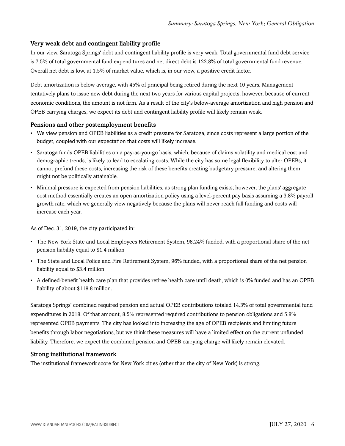## Very weak debt and contingent liability profile

In our view, Saratoga Springs' debt and contingent liability profile is very weak. Total governmental fund debt service is 7.5% of total governmental fund expenditures and net direct debt is 122.8% of total governmental fund revenue. Overall net debt is low, at 1.5% of market value, which is, in our view, a positive credit factor.

Debt amortization is below average, with 45% of principal being retired during the next 10 years. Management tentatively plans to issue new debt during the next two years for various capital projects; however, because of current economic conditions, the amount is not firm. As a result of the city's below-average amortization and high pension and OPEB carrying charges, we expect its debt and contingent liability profile will likely remain weak.

## Pensions and other postemployment benefits

- We view pension and OPEB liabilities as a credit pressure for Saratoga, since costs represent a large portion of the budget, coupled with our expectation that costs will likely increase.
- Saratoga funds OPEB liabilities on a pay-as-you-go basis, which, because of claims volatility and medical cost and demographic trends, is likely to lead to escalating costs. While the city has some legal flexibility to alter OPEBs, it cannot prefund these costs, increasing the risk of these benefits creating budgetary pressure, and altering them might not be politically attainable.
- Minimal pressure is expected from pension liabilities, as strong plan funding exists; however, the plans' aggregate cost method essentially creates an open amortization policy using a level-percent pay basis assuming a 3.8% payroll growth rate, which we generally view negatively because the plans will never reach full funding and costs will increase each year.

As of Dec. 31, 2019, the city participated in:

- The New York State and Local Employees Retirement System, 98.24% funded, with a proportional share of the net pension liability equal to \$1.4 million
- The State and Local Police and Fire Retirement System, 96% funded, with a proportional share of the net pension liability equal to \$3.4 million
- A defined-benefit health care plan that provides retiree health care until death, which is 0% funded and has an OPEB liability of about \$118.8 million.

Saratoga Springs' combined required pension and actual OPEB contributions totaled 14.3% of total governmental fund expenditures in 2018. Of that amount, 8.5% represented required contributions to pension obligations and 5.8% represented OPEB payments. The city has looked into increasing the age of OPEB recipients and limiting future benefits through labor negotiations, but we think these measures will have a limited effect on the current unfunded liability. Therefore, we expect the combined pension and OPEB carrying charge will likely remain elevated.

## Strong institutional framework

The institutional framework score for New York cities (other than the city of New York) is strong.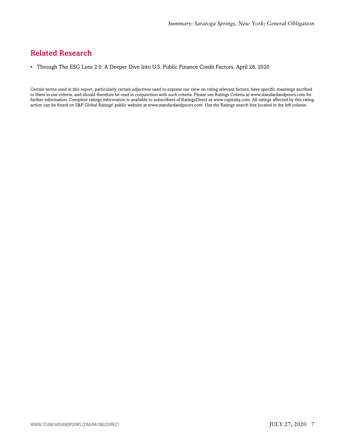## <span id="page-6-0"></span>Related Research

• Through The ESG Lens 2.0: A Deeper Dive Into U.S. Public Finance Credit Factors, April 28, 2020

Certain terms used in this report, particularly certain adjectives used to express our view on rating relevant factors, have specific meanings ascribed to them in our criteria, and should therefore be read in conjunction with such criteria. Please see Ratings Criteria at www.standardandpoors.com for further information. Complete ratings information is available to subscribers of RatingsDirect at www.capitaliq.com. All ratings affected by this rating action can be found on S&P Global Ratings' public website at www.standardandpoors.com. Use the Ratings search box located in the left column.